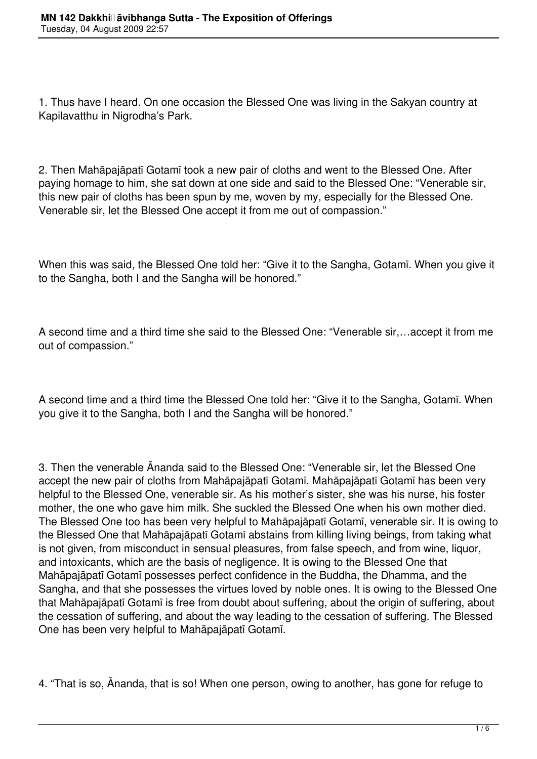1. Thus have I heard. On one occasion the Blessed One was living in the Sakyan country at Kapilavatthu in Nigrodha's Park.

2. Then Mahāpajāpatī Gotamī took a new pair of cloths and went to the Blessed One. After paying homage to him, she sat down at one side and said to the Blessed One: "Venerable sir, this new pair of cloths has been spun by me, woven by my, especially for the Blessed One. Venerable sir, let the Blessed One accept it from me out of compassion."

When this was said, the Blessed One told her: "Give it to the Sangha, Gotamī. When you give it to the Sangha, both I and the Sangha will be honored."

A second time and a third time she said to the Blessed One: "Venerable sir,…accept it from me out of compassion."

A second time and a third time the Blessed One told her: "Give it to the Sangha, Gotamī. When you give it to the Sangha, both I and the Sangha will be honored."

3. Then the venerable Ānanda said to the Blessed One: "Venerable sir, let the Blessed One accept the new pair of cloths from Mahāpajāpatī Gotamī. Mahāpajāpatī Gotamī has been very helpful to the Blessed One, venerable sir. As his mother's sister, she was his nurse, his foster mother, the one who gave him milk. She suckled the Blessed One when his own mother died. The Blessed One too has been very helpful to Mahāpajāpatī Gotamī, venerable sir. It is owing to the Blessed One that Mahāpajāpatī Gotamī abstains from killing living beings, from taking what is not given, from misconduct in sensual pleasures, from false speech, and from wine, liquor, and intoxicants, which are the basis of negligence. It is owing to the Blessed One that Mahāpajāpatī Gotamī possesses perfect confidence in the Buddha, the Dhamma, and the Sangha, and that she possesses the virtues loved by noble ones. It is owing to the Blessed One that Mahāpajāpatī Gotamī is free from doubt about suffering, about the origin of suffering, about the cessation of suffering, and about the way leading to the cessation of suffering. The Blessed One has been very helpful to Mahāpajāpatī Gotamī.

4. "That is so, Ānanda, that is so! When one person, owing to another, has gone for refuge to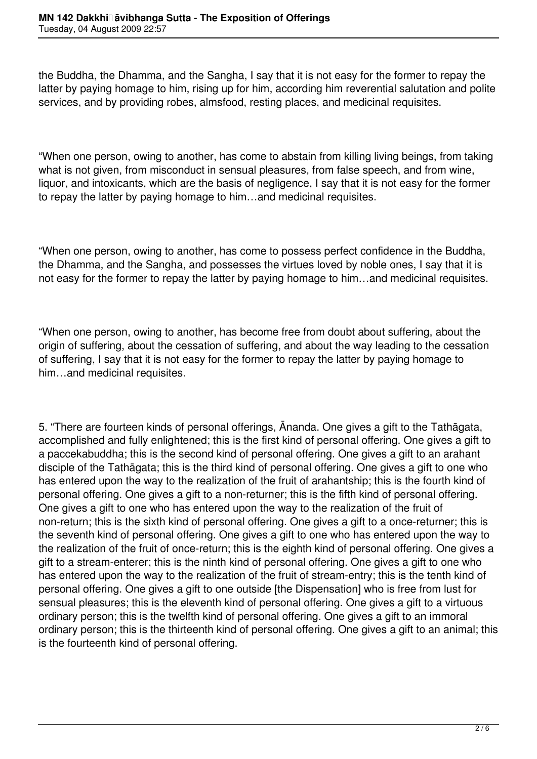the Buddha, the Dhamma, and the Sangha, I say that it is not easy for the former to repay the latter by paying homage to him, rising up for him, according him reverential salutation and polite services, and by providing robes, almsfood, resting places, and medicinal requisites.

"When one person, owing to another, has come to abstain from killing living beings, from taking what is not given, from misconduct in sensual pleasures, from false speech, and from wine, liquor, and intoxicants, which are the basis of negligence, I say that it is not easy for the former to repay the latter by paying homage to him…and medicinal requisites.

"When one person, owing to another, has come to possess perfect confidence in the Buddha, the Dhamma, and the Sangha, and possesses the virtues loved by noble ones, I say that it is not easy for the former to repay the latter by paying homage to him…and medicinal requisites.

"When one person, owing to another, has become free from doubt about suffering, about the origin of suffering, about the cessation of suffering, and about the way leading to the cessation of suffering, I say that it is not easy for the former to repay the latter by paying homage to him…and medicinal requisites.

5. "There are fourteen kinds of personal offerings, Ānanda. One gives a gift to the Tathāgata, accomplished and fully enlightened; this is the first kind of personal offering. One gives a gift to a paccekabuddha; this is the second kind of personal offering. One gives a gift to an arahant disciple of the Tathāgata; this is the third kind of personal offering. One gives a gift to one who has entered upon the way to the realization of the fruit of arahantship; this is the fourth kind of personal offering. One gives a gift to a non-returner; this is the fifth kind of personal offering. One gives a gift to one who has entered upon the way to the realization of the fruit of non-return; this is the sixth kind of personal offering. One gives a gift to a once-returner; this is the seventh kind of personal offering. One gives a gift to one who has entered upon the way to the realization of the fruit of once-return; this is the eighth kind of personal offering. One gives a gift to a stream-enterer; this is the ninth kind of personal offering. One gives a gift to one who has entered upon the way to the realization of the fruit of stream-entry; this is the tenth kind of personal offering. One gives a gift to one outside [the Dispensation] who is free from lust for sensual pleasures; this is the eleventh kind of personal offering. One gives a gift to a virtuous ordinary person; this is the twelfth kind of personal offering. One gives a gift to an immoral ordinary person; this is the thirteenth kind of personal offering. One gives a gift to an animal; this is the fourteenth kind of personal offering.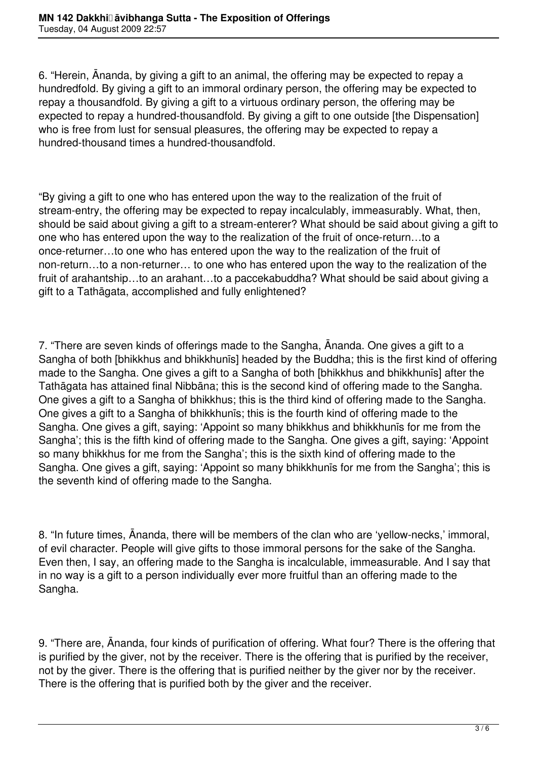6. "Herein, Ānanda, by giving a gift to an animal, the offering may be expected to repay a hundredfold. By giving a gift to an immoral ordinary person, the offering may be expected to repay a thousandfold. By giving a gift to a virtuous ordinary person, the offering may be expected to repay a hundred-thousandfold. By giving a gift to one outside [the Dispensation] who is free from lust for sensual pleasures, the offering may be expected to repay a hundred-thousand times a hundred-thousandfold.

"By giving a gift to one who has entered upon the way to the realization of the fruit of stream-entry, the offering may be expected to repay incalculably, immeasurably. What, then, should be said about giving a gift to a stream-enterer? What should be said about giving a gift to one who has entered upon the way to the realization of the fruit of once-return…to a once-returner…to one who has entered upon the way to the realization of the fruit of non-return…to a non-returner… to one who has entered upon the way to the realization of the fruit of arahantship…to an arahant…to a paccekabuddha? What should be said about giving a gift to a Tathāgata, accomplished and fully enlightened?

7. "There are seven kinds of offerings made to the Sangha, Ānanda. One gives a gift to a Sangha of both [bhikkhus and bhikkhunīs] headed by the Buddha; this is the first kind of offering made to the Sangha. One gives a gift to a Sangha of both [bhikkhus and bhikkhunīs] after the Tathāgata has attained final Nibbāna; this is the second kind of offering made to the Sangha. One gives a gift to a Sangha of bhikkhus; this is the third kind of offering made to the Sangha. One gives a gift to a Sangha of bhikkhunīs; this is the fourth kind of offering made to the Sangha. One gives a gift, saying: 'Appoint so many bhikkhus and bhikkhunīs for me from the Sangha'; this is the fifth kind of offering made to the Sangha. One gives a gift, saying: 'Appoint so many bhikkhus for me from the Sangha'; this is the sixth kind of offering made to the Sangha. One gives a gift, saying: 'Appoint so many bhikkhunīs for me from the Sangha'; this is the seventh kind of offering made to the Sangha.

8. "In future times, Ānanda, there will be members of the clan who are 'yellow-necks,' immoral, of evil character. People will give gifts to those immoral persons for the sake of the Sangha. Even then, I say, an offering made to the Sangha is incalculable, immeasurable. And I say that in no way is a gift to a person individually ever more fruitful than an offering made to the Sangha.

9. "There are, Ānanda, four kinds of purification of offering. What four? There is the offering that is purified by the giver, not by the receiver. There is the offering that is purified by the receiver, not by the giver. There is the offering that is purified neither by the giver nor by the receiver. There is the offering that is purified both by the giver and the receiver.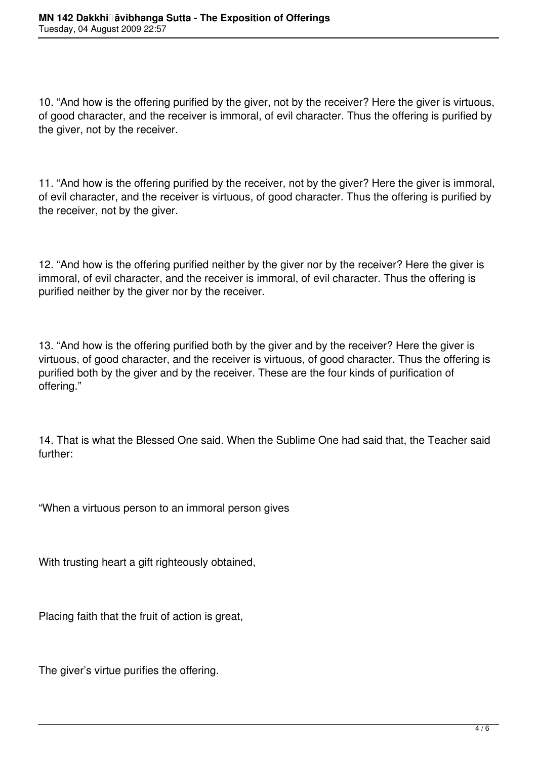10. "And how is the offering purified by the giver, not by the receiver? Here the giver is virtuous, of good character, and the receiver is immoral, of evil character. Thus the offering is purified by the giver, not by the receiver.

11. "And how is the offering purified by the receiver, not by the giver? Here the giver is immoral, of evil character, and the receiver is virtuous, of good character. Thus the offering is purified by the receiver, not by the giver.

12. "And how is the offering purified neither by the giver nor by the receiver? Here the giver is immoral, of evil character, and the receiver is immoral, of evil character. Thus the offering is purified neither by the giver nor by the receiver.

13. "And how is the offering purified both by the giver and by the receiver? Here the giver is virtuous, of good character, and the receiver is virtuous, of good character. Thus the offering is purified both by the giver and by the receiver. These are the four kinds of purification of offering."

14. That is what the Blessed One said. When the Sublime One had said that, the Teacher said further:

"When a virtuous person to an immoral person gives

With trusting heart a gift righteously obtained,

Placing faith that the fruit of action is great,

The giver's virtue purifies the offering.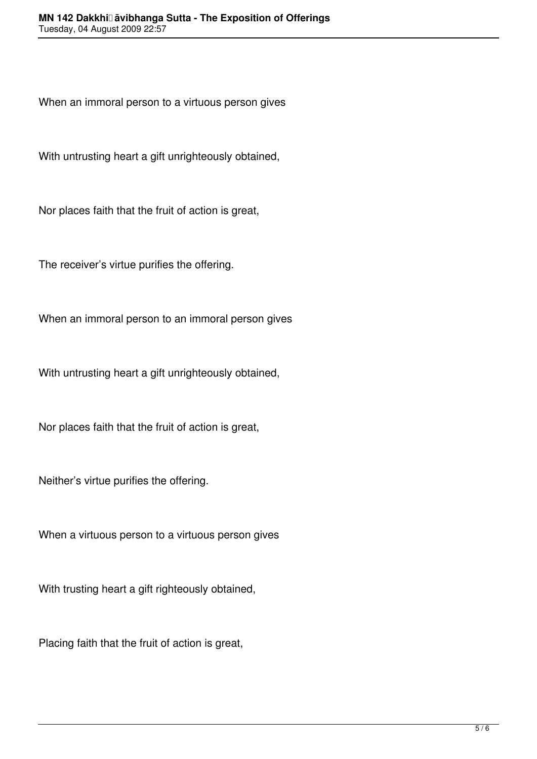When an immoral person to a virtuous person gives

With untrusting heart a gift unrighteously obtained,

Nor places faith that the fruit of action is great,

The receiver's virtue purifies the offering.

When an immoral person to an immoral person gives

With untrusting heart a gift unrighteously obtained,

Nor places faith that the fruit of action is great,

Neither's virtue purifies the offering.

When a virtuous person to a virtuous person gives

With trusting heart a gift righteously obtained,

Placing faith that the fruit of action is great,